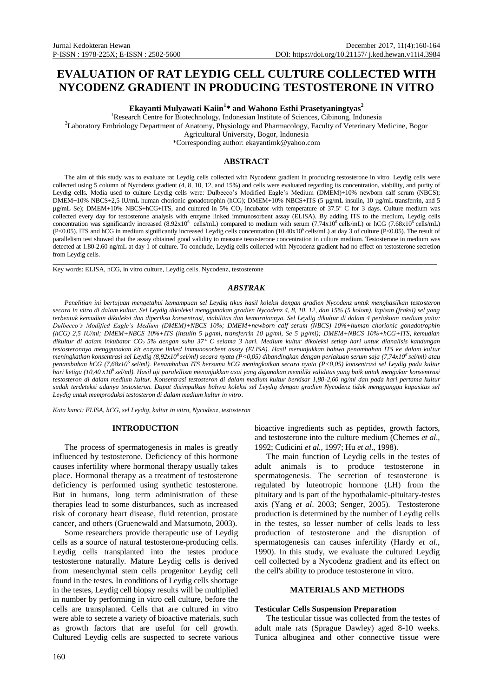# **EVALUATION OF RAT LEYDIG CELL CULTURE COLLECTED WITH NYCODENZ GRADIENT IN PRODUCING TESTOSTERONE IN VITRO**

**Ekayanti Mulyawati Kaiin<sup>1</sup> \* and Wahono Esthi Prasetyaningtyas<sup>2</sup>**

<sup>1</sup>Research Centre for Biotechnology, Indonesian Institute of Sciences, Cibinong, Indonesia <sup>2</sup>Laboratory Embriology Department of Anatomy, Physiology and Pharmacology, Faculty of Veterinary Medicine, Bogor Agricultural University, Bogor, Indonesia

\*Corresponding author[: ekayantimk@yahoo.com](mailto:ekayantimk@yahoo.com)

## **ABSTRACT**

The aim of this study was to evaluate rat Leydig cells collected with Nycodenz gradient in producing testosterone in vitro. Leydig cells were collected using 5 column of Nycodenz gradient (4, 8, 10, 12, and 15%) and cells were evaluated regarding its concentration, viability, and purity of Leydig cells. Media used to culture Leydig cells were: Dulbecco's Modified Eagle's Medium (DMEM)+10% newborn calf serum (NBCS); DMEM+10% NBCS+2,5 IU/mL human chorionic gonadotrophin (hCG); DMEM+10% NBCS+ITS (5 µg/mL insulin, 10 µg/mL transferrin, and 5 µg/mL Se); DMEM+10% NBCS+hCG+ITS, and cultured in 5% CO<sub>2</sub> incubator with temperature of 37.5° C for 3 days. Culture medium was collected every day for testosterone analysis with enzyme linked immunosorbent assay (ELISA). By adding ITS to the medium, Leydig cells concentration was significantly increased  $(8.92 \times 10^6 \text{ cells/mL})$  compared to medium with serum  $(7.74 \times 10^6 \text{ cells/mL})$  or hCG  $(7.68 \times 10^6 \text{ cells/mL})$ (P<0.05). ITS and hCG in medium significantly increased Leydig cells concentration (10.40x10<sup>6</sup> cells/mL) at day 3 of culture (P<0.05). The result of parallelism test showed that the assay obtained good validity to measure testosterone concentration in culture medium. Testosterone in medium was detected at 1.80-2.60 ng/mL at day 1 of culture. To conclude, Leydig cells collected with Nycodenz gradient had no effect on testosterone secretion from Leydig cells.

\_\_\_\_\_\_\_\_\_\_\_\_\_\_\_\_\_\_\_\_\_\_\_\_\_\_\_\_\_\_\_\_\_\_\_\_\_\_\_\_\_\_\_\_\_\_\_\_\_\_\_\_\_\_\_\_\_\_\_\_\_\_\_\_\_\_\_\_\_\_\_\_\_\_\_\_\_\_\_\_\_\_\_\_\_\_\_\_\_\_\_\_\_\_\_\_\_\_\_\_\_\_\_\_\_\_\_\_\_\_\_\_\_\_\_\_ Key words: ELISA, hCG, in vitro culture, Leydig cells, Nycodenz, testosterone

#### *ABSTRAK*

*Penelitian ini bertujuan mengetahui kemampuan sel Leydig tikus hasil koleksi dengan gradien Nycodenz untuk menghasilkan testosteron secara in vitro di dalam kultur. Sel Leydig dikoleksi menggunakan gradien Nycodenz 4, 8, 10, 12, dan 15% (5 kolom), lapisan (fraksi) sel yang terbentuk kemudian dikoleksi dan diperiksa konsentrasi, viabilitas dan kemurniannya. Sel Leydig dikultur di dalam 4 perlakuan medium yaitu: Dulbecco's Modified Eagle's Medium (DMEM)+NBCS 10%; DMEM+newborn calf serum (NBCS) 10%+human chorionic gonadotrophin (hCG) 2,5 IU/ml; DMEM+NBCS 10%+ITS (insulin 5 µg/ml, transferrin 10 µg/ml, Se 5 µg/ml); DMEM+NBCS 10%+hCG+ITS, kemudian dikultur di dalam inkubator CO2 5% dengan suhu 37 C selama 3 hari. Medium kultur dikoleksi setiap hari untuk dianalisis kandungan testosteronnya menggunakan kit enzyme linked immunosorbent assay (ELISA). Hasil menunjukkan bahwa penambahan ITS ke dalam kultur meningkatkan konsentrasi sel Leydig (8,92x10<sup>6</sup>sel/ml) secara nyata (P<0,05) dibandingkan dengan perlakuan serum saja (7,74x10<sup>6</sup>sel/ml) atau penambahan hCG (7,68x10<sup>6</sup>sel/ml). Penambahan ITS bersama hCG meningkatkan secara nyata (P<0,05) konsentrasi sel Leydig pada kultur hari ketiga (10,40 x10<sup>6</sup>sel/ml). Hasil uji paralellism menunjukkan asai yang digunakan memiliki validitas yang baik untuk mengukur konsentrasi testosteron di dalam medium kultur. Konsentrasi testosteron di dalam medium kultur berkisar 1,80-2,60 ng/ml dan pada hari pertama kultur sudah terdeteksi adanya testosteron. Dapat disimpulkan bahwa koleksi sel Leydig dengan gradien Nycodenz tidak mengganggu kapasitas sel Leydig untuk memproduksi testosteron di dalam medium kultur in vitro.*

\_\_\_\_\_\_\_\_\_\_\_\_\_\_\_\_\_\_\_\_\_\_\_\_\_\_\_\_\_\_\_\_\_\_\_\_\_\_\_\_\_\_\_\_\_\_\_\_\_\_\_\_\_\_\_\_\_\_\_\_\_\_\_\_\_\_\_\_\_\_\_\_\_\_\_\_\_\_\_\_\_\_\_\_\_\_\_\_\_\_\_\_\_\_\_\_\_\_\_\_\_\_\_\_\_\_\_\_\_\_\_\_\_\_\_\_

*Kata kunci: ELISA, hCG, sel Leydig, kultur in vitro, Nycodenz, testosteron*

#### **INTRODUCTION**

The process of spermatogenesis in males is greatly influenced by testosterone. Deficiency of this hormone causes infertility where hormonal therapy usually takes place. Hormonal therapy as a treatment of testosterone deficiency is performed using synthetic testosterone. But in humans, long term administration of these therapies lead to some disturbances, such as increased risk of coronary heart disease, fluid retention, prostate cancer, and others (Gruenewald and Matsumoto, 2003).

Some researchers provide therapeutic use of Leydig cells as a source of natural testosterone-producing cells. Leydig cells transplanted into the testes produce testosterone naturally. Mature Leydig cells is derived from mesenchymal stem cells progenitor Leydig cell found in the testes. In conditions of Leydig cells shortage in the testes, Leydig cell biopsy results will be multiplied in number by performing in vitro cell culture, before the cells are transplanted. Cells that are cultured in vitro were able to secrete a variety of bioactive materials, such as growth factors that are useful for cell growth. Cultured Leydig cells are suspected to secrete various bioactive ingredients such as peptides, growth factors, and testosterone into the culture medium (Chemes *et al*., 1992; Cudicini *et al.,* 1997; Hu *et al*., 1998).

The main function of Leydig cells in the testes of adult animals is to produce testosterone in spermatogenesis. The secretion of testosterone is regulated by luteotropic hormone (LH) from the pituitary and is part of the hypothalamic-pituitary-testes axis (Yang *et al*. 2003; Senger, 2005). Testosterone production is determined by the number of Leydig cells in the testes, so lesser number of cells leads to less production of testosterone and the disruption of spermatogenesis can causes infertility (Hardy *et al*., 1990). In this study, we evaluate the cultured Leydig cell collected by a Nycodenz gradient and its effect on the cell's ability to produce testosterone in vitro.

#### **MATERIALS AND METHODS**

#### **Testicular Cells Suspension Preparation**

The testicular tissue was collected from the testes of adult male rats (Sprague Dawley) aged 8-10 weeks. Tunica albuginea and other connective tissue were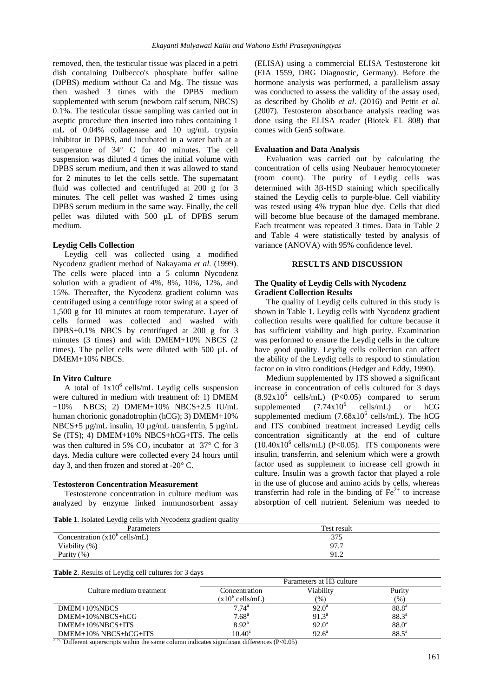removed, then, the testicular tissue was placed in a petri dish containing Dulbecco's phosphate buffer saline (DPBS) medium without Ca and Mg. The tissue was then washed 3 times with the DPBS medium supplemented with serum (newborn calf serum, NBCS) 0.1%. The testicular tissue sampling was carried out in aseptic procedure then inserted into tubes containing 1 mL of 0.04% collagenase and 10 ug/mL trypsin inhibitor in DPBS, and incubated in a water bath at a temperature of 34° C for 40 minutes. The cell suspension was diluted 4 times the initial volume with DPBS serum medium, and then it was allowed to stand for 2 minutes to let the cells settle. The supernatant fluid was collected and centrifuged at 200 g for 3 minutes. The cell pellet was washed 2 times using DPBS serum medium in the same way. Finally, the cell pellet was diluted with 500 µL of DPBS serum medium.

# **Leydig Cells Collection**

Leydig cell was collected using a modified Nycodenz gradient method of Nakayama *et al.* (1999). The cells were placed into a 5 column Nycodenz solution with a gradient of 4%, 8%, 10%, 12%, and 15%. Thereafter, the Nycodenz gradient column was centrifuged using a centrifuge rotor swing at a speed of 1,500 g for 10 minutes at room temperature. Layer of cells formed was collected and washed with DPBS+0.1% NBCS by centrifuged at 200 g for 3 minutes (3 times) and with DMEM+10% NBCS (2 times). The pellet cells were diluted with 500 µL of DMEM+10% NBCS.

## **In Vitro Culture**

A total of  $1x10^6$  cells/mL Leydig cells suspension were cultured in medium with treatment of: 1) DMEM +10% NBCS; 2) DMEM+10% NBCS+2.5 IU/mL human chorionic gonadotrophin (hCG); 3) DMEM+10% NBCS+5 µg/mL insulin, 10 µg/mL transferrin, 5 µg/mL Se (ITS); 4) DMEM+10% NBCS+hCG+ITS. The cells was then cultured in 5%  $CO<sub>2</sub>$  incubator at 37° C for 3 days. Media culture were collected every 24 hours until day 3, and then frozen and stored at -20 $\degree$  C.

## **Testosteron Concentration Measurement**

Testosterone concentration in culture medium was analyzed by enzyme linked immunosorbent assay (ELISA) using a commercial ELISA Testosterone kit (EIA 1559, DRG Diagnostic, Germany). Before the hormone analysis was performed, a parallelism assay was conducted to assess the validity of the assay used, as described by Gholib *et al*. (2016) and Pettit *et al*. (2007). Testosteron absorbance analysis reading was done using the ELISA reader (Biotek EL 808) that comes with Gen5 software.

# **Evaluation and Data Analysis**

Evaluation was carried out by calculating the concentration of cells using Neubauer hemocytometer (room count). The purity of Leydig cells was determined with  $3\beta$ -HSD staining which specifically stained the Leydig cells to purple-blue. Cell viability was tested using 4% trypan blue dye. Cells that died will become blue because of the damaged membrane. Each treatment was repeated 3 times. Data in Table 2 and Table 4 were statistically tested by analysis of variance (ANOVA) with 95% confidence level.

## **RESULTS AND DISCUSSION**

# **The Quality of Leydig Cells with Nycodenz Gradient Collection Results**

The quality of Leydig cells cultured in this study is shown in Table 1. Leydig cells with Nycodenz gradient collection results were qualified for culture because it has sufficient viability and high purity. Examination was performed to ensure the Leydig cells in the culture have good quality. Leydig cells collection can affect the ability of the Leydig cells to respond to stimulation factor on in vitro conditions (Hedger and Eddy, 1990).

Medium supplemented by ITS showed a significant increase in concentration of cells cultured for 3 days  $(8.92 \times 10^6 \text{ cells/mL})$   $(P<0.05)$  compared to serum supplemented  $(7.74x10^6$ cells/mL) or hCG supplemented medium  $(7.68 \times 10^6 \text{ cells/mL})$ . The hCG and ITS combined treatment increased Leydig cells concentration significantly at the end of culture  $(10.40x10^6 \text{ cells/mL})$  (P<0.05). ITS components were insulin, transferrin, and selenium which were a growth factor used as supplement to increase cell growth in culture. Insulin was a growth factor that played a role in the use of glucose and amino acids by cells, whereas transferrin had role in the binding of  $Fe<sup>2+</sup>$  to increase absorption of cell nutrient. Selenium was needed to

| <b>Table 1.</b> Isolated Leydig cells with Nycodenz gradient quality |             |
|----------------------------------------------------------------------|-------------|
| <b>Parameters</b>                                                    | Test result |
| Concentration $(x10^{\circ}$ cells/mL)                               | 375         |
| Viability (%)                                                        | 97.7        |
| Purity $(\% )$                                                       | 91.2        |

**Table 2**. Results of Leydig cell cultures for 3 days

|                              |                            | Parameters at H <sub>3</sub> culture |                   |
|------------------------------|----------------------------|--------------------------------------|-------------------|
| Culture medium treatment     | Concentration              | Viability                            | Purity            |
|                              | $(x10^6 \text{ cells/mL})$ | $(\%)$                               | (%)               |
| $DMEM+10\% NBCS$             | $7.74^{\rm a}$             | $92.0^{\circ}$                       | $88.8^{\circ}$    |
| $DMEM+10\% NBCS+hCG$         | 7.68 <sup>a</sup>          | $91.3^a$                             | $88.3^{a}$        |
| DMEM+10%NBCS+ITS             | $8.92^{b}$                 | $92.0^{\text{a}}$                    | 88.0 <sup>a</sup> |
| DMEM+10% NBCS+hCG+ITS<br>___ | $10.40^\circ$              | $92.6^{\circ}$                       | $88.5^{\circ}$    |

<sup>a, b, c</sup>Different superscripts within the same column indicates significant differences (P<0.05)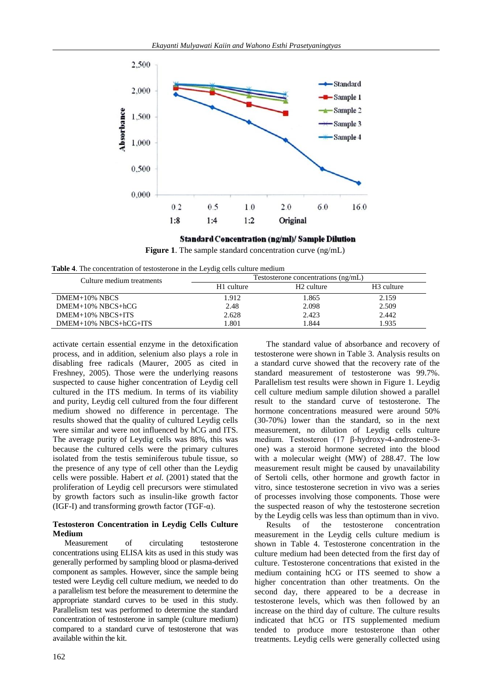

**Standard Concentration (ng/ml)/ Sample Dilution** 



| Table 4. The concentration of testosterone in the Leydig cells culture medium |  |  |  |
|-------------------------------------------------------------------------------|--|--|--|
|-------------------------------------------------------------------------------|--|--|--|

| Culture medium treatments |            | Testosterone concentrations (ng/mL) |                        |
|---------------------------|------------|-------------------------------------|------------------------|
|                           | H1 culture | H <sub>2</sub> culture              | H <sub>3</sub> culture |
| DMEM+10% NBCS             | 1.912      | 1.865                               | 2.159                  |
| DMEM+10% NBCS+hCG         | 2.48       | 2.098                               | 2.509                  |
| DMEM+10% NBCS+ITS         | 2.628      | 2.423                               | 2.442                  |
| DMEM+10% NBCS+hCG+ITS     | .801       | 844.                                | .935                   |

activate certain essential enzyme in the detoxification process, and in addition, selenium also plays a role in disabling free radicals (Maurer, 2005 as cited in Freshney, 2005). Those were the underlying reasons suspected to cause higher concentration of Leydig cell cultured in the ITS medium. In terms of its viability and purity, Leydig cell cultured from the four different medium showed no difference in percentage. The results showed that the quality of cultured Leydig cells were similar and were not influenced by hCG and ITS. The average purity of Leydig cells was 88%, this was because the cultured cells were the primary cultures isolated from the testis seminiferous tubule tissue, so the presence of any type of cell other than the Leydig cells were possible. Habert *et al.* (2001) stated that the proliferation of Leydig cell precursors were stimulated by growth factors such as insulin-like growth factor (IGF-I) and transforming growth factor (TGF- $\alpha$ ).

# **Testosteron Concentration in Leydig Cells Culture Medium**

Measurement of circulating testosterone concentrations using ELISA kits as used in this study was generally performed by sampling blood or plasma-derived component as samples. However, since the sample being tested were Leydig cell culture medium, we needed to do a parallelism test before the measurement to determine the appropriate standard curves to be used in this study. Parallelism test was performed to determine the standard concentration of testosterone in sample (culture medium) compared to a standard curve of testosterone that was available within the kit.

The standard value of absorbance and recovery of testosterone were shown in Table 3. Analysis results on a standard curve showed that the recovery rate of the standard measurement of testosterone was 99.7%. Parallelism test results were shown in Figure 1. Leydig cell culture medium sample dilution showed a parallel result to the standard curve of testosterone. The hormone concentrations measured were around 50% (30-70%) lower than the standard, so in the next measurement, no dilution of Leydig cells culture medium. Testosteron (17 β-hydroxy-4-androstene-3 one) was a steroid hormone secreted into the blood with a molecular weight (MW) of 288.47. The low measurement result might be caused by unavailability of Sertoli cells, other hormone and growth factor in vitro, since testosterone secretion in vivo was a series of processes involving those components. Those were the suspected reason of why the testosterone secretion by the Leydig cells was less than optimum than in vivo.

Results of the testosterone concentration measurement in the Leydig cells culture medium is shown in Table 4. Testosterone concentration in the culture medium had been detected from the first day of culture. Testosterone concentrations that existed in the medium containing hCG or ITS seemed to show a higher concentration than other treatments. On the second day, there appeared to be a decrease in testosterone levels, which was then followed by an increase on the third day of culture. The culture results indicated that hCG or ITS supplemented medium tended to produce more testosterone than other treatments. Leydig cells were generally collected using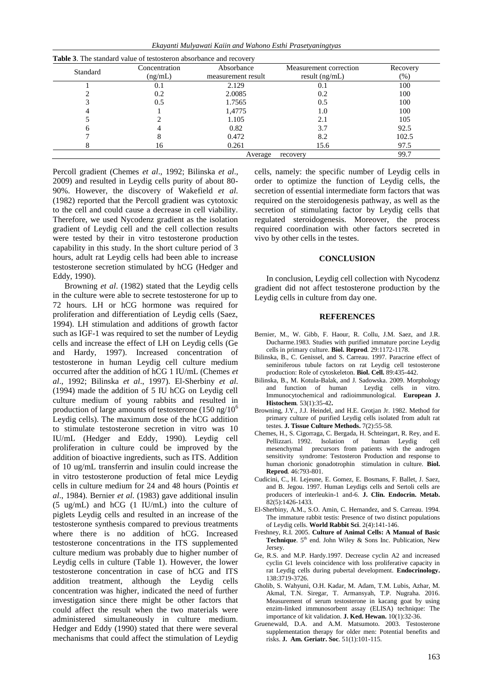*Ekayanti Mulyawati Kaiin and Wahono Esthi Prasetyaningtyas*

| Standard            | Concentration | Absorbance         | Measurement correction | Recovery |
|---------------------|---------------|--------------------|------------------------|----------|
|                     | (ng/mL)       | measurement result | result $(ng/mL)$       | $(\%)$   |
|                     | 0.1           | 2.129              | U. I                   | 100      |
|                     | 0.2           | 2.0085             | 0.2                    | 100      |
|                     | 0.5           | 1.7565             | 0.5                    | 100      |
|                     |               | 1,4775             | 1.0                    | 100      |
|                     |               | 1.105              | 2.1                    | 105      |
|                     |               | 0.82               | 3.7                    | 92.5     |
|                     |               | 0.472              | 8.2                    | 102.5    |
|                     | 16            | 0.261              | 15.6                   | 97.5     |
| Average<br>recovery |               |                    | 99.7                   |          |

Percoll gradient (Chemes *et al*., 1992; Bilinska *et al*., 2009) and resulted in Leydig cells purity of about 80- 90%. However, the discovery of Wakefield *et al*. (1982) reported that the Percoll gradient was cytotoxic to the cell and could cause a decrease in cell viability. Therefore, we used Nycodenz gradient as the isolation gradient of Leydig cell and the cell collection results were tested by their in vitro testosterone production capability in this study. In the short culture period of 3 hours, adult rat Leydig cells had been able to increase testosterone secretion stimulated by hCG (Hedger and Eddy, 1990).

Browning *et al*. (1982) stated that the Leydig cells in the culture were able to secrete testosterone for up to 72 hours. LH or hCG hormone was required for proliferation and differentiation of Leydig cells (Saez, 1994). LH stimulation and additions of growth factor such as IGF-1 was required to set the number of Leydig cells and increase the effect of LH on Leydig cells (Ge and Hardy, 1997). Increased concentration of testosterone in human Leydig cell culture medium occurred after the addition of hCG 1 IU/mL (Chemes *et al*., 1992; Bilinska *et al*., 1997). El-Sherbiny *et al*. (1994) made the addition of 5 IU hCG on Leydig cell culture medium of young rabbits and resulted in production of large amounts of testosterone  $(150 \text{ ng}/10^6)$ Leydig cells). The maximum dose of the hCG addition to stimulate testosterone secretion in vitro was 10 IU/mL (Hedger and Eddy, 1990). Leydig cell proliferation in culture could be improved by the addition of bioactive ingredients, such as ITS. Addition of 10 ug/mL transferrin and insulin could increase the in vitro testosterone production of fetal mice Leydig cells in culture medium for 24 and 48 hours (Pointis *et al*., 1984). Bernier *et al*. (1983) gave additional insulin (5 ug/mL) and hCG (1 IU/mL) into the culture of piglets Leydig cells and resulted in an increase of the testosterone synthesis compared to previous treatments where there is no addition of hCG. Increased testosterone concentrations in the ITS supplemented culture medium was probably due to higher number of Leydig cells in culture (Table 1). However, the lower testosterone concentration in case of hCG and ITS addition treatment, although the Leydig cells concentration was higher, indicated the need of further investigation since there might be other factors that could affect the result when the two materials were administered simultaneously in culture medium. Hedger and Eddy (1990) stated that there were several mechanisms that could affect the stimulation of Leydig

cells, namely: the specific number of Leydig cells in order to optimize the function of Leydig cells, the secretion of essential intermediate form factors that was required on the steroidogenesis pathway, as well as the secretion of stimulating factor by Leydig cells that regulated steroidogenesis. Moreover, the process required coordination with other factors secreted in vivo by other cells in the testes.

## **CONCLUSION**

In conclusion, Leydig cell collection with Nycodenz gradient did not affect testosterone production by the Leydig cells in culture from day one.

#### **REFERENCES**

- Bernier, M., W. Gibb, F. Haour, R. Collu, J.M. Saez, and J.R. Ducharme.1983. Studies with purified immature porcine Leydig cells in primary culture. **Biol. Reprod***.* 29:1172-1178.
- Bilinska, B., C. Genissel, and S. Carreau. 1997. Paracrine effect of seminiferous tubule factors on rat Leydig cell testosterone production: Role of cytoskeleton. **Biol. Cell.** 89:435-442.
- Bilinska, B., M. Kotula-Balak, and J. Sadowska. 2009. Morphology and function of human Leydig cells in vitro. Immunocytochemical and radioimmunological. **European J. Histochem***.* 53(1):35-42**.**
- Browning, J.Y., J.J. Heindel, and H.E. Grotjan Jr. 1982. Method for primary culture of purified Leydig cells isolated from adult rat testes. **J. Tissue Culture Methods.** 7(2):55-58.
- Chemes, H., S. Cigorraga, C. Bergada, H. Schteingart, R. Rey, and E. Pellizzari. 1992. Isolation of human Leydig cell mesenchymal precursors from patients with the androgen sensitivity syndrome: Testosteron Production and response to human chorionic gonadotrophin stimulation in culture. **Biol. Reprod***.* 46:793-801.
- Cudicini, C., H. Lejeune, E. Gomez, E. Bosmans, F. Ballet, J. Saez, and B. Jegou. 1997. Human Leydigs cells and Sertoli cells are producers of interleukin-1 and-6. **J. Clin. Endocrin. Metab.**  $82(5):1426-1433.$
- El-Sherbiny, A.M., S.O. Amin, C. Hernandez, and S. Carreau. 1994. The immature rabbit testis: Presence of two distinct populations of Leydig cells. **World Rabbit Sci**. 2(4):141-146.
- Freshney, R.I. 2005. **Culture of Animal Cells: A Manual of Basic Technique**. 5<sup>th</sup> end. John Wiley & Sons Inc. Publication, New Jersey.
- Ge, R.S. and M.P. Hardy.1997. Decrease cyclin A2 and increased cyclin G1 levels coincidence with loss proliferative capacity in rat Leydig cells during pubertal development. **Endocrinology.**  138:3719-3726.
- Gholib, S. Wahyuni, O.H. Kadar, M. Adam, T.M. Lubis, Azhar, M. Akmal, T.N. Siregar, T. Armansyah, T.P. Nugraha. 2016. Measurement of serum testosterone in kacang goat by using enzim-linked immunosorbent assay (ELISA) technique: The importance of kit validation. **J. Ked. Hewan.** 10(1):32-36.
- Gruenewald, D.A. and A.M. Matsumoto. 2003. Testosterone supplementation therapy for older men: Potential benefits and risks. **J. Am. Geriatr. Soc**. 51(1):101-115.